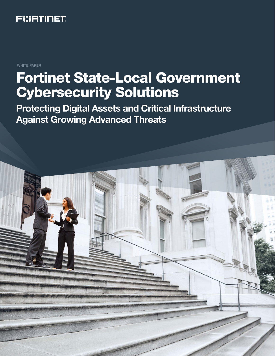

WHITE PAPER

# Fortinet State-Local Government Cybersecurity Solutions

Protecting Digital Assets and Critical Infrastructure Against Growing Advanced Threats

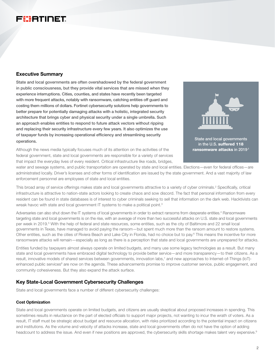# FIBRINET

# Executive Summary

State and local governments are often overshadowed by the federal government in public consciousness, but they provide vital services that are missed when they experience interruptions. Cities, counties, and states have recently been targeted with more frequent attacks, notably with ransomware, catching entities off guard and costing them millions of dollars. Fortinet cybersecurity solutions help governments to better prepare for potentially damaging attacks with a holistic, integrated security architecture that brings cyber and physical security under a single umbrella. Such an approach enables entities to respond to future attack vectors without ripping and replacing their security infrastructure every few years. It also optimizes the use of taxpayer funds by increasing operational efficiency and streamlining security operations.

Although the news media typically focuses much of its attention on the activities of the federal government, state and local governments are responsible for a variety of services that impact the everyday lives of every resident. Critical infrastructure like roads, bridges,



in the U.S. suffered 118 ransomware attacks in 2019<sup>-1</sup>

water and sewage systems, and public transportation are operated by state and local entities. Elections—even for federal offices—are administrated locally. Driver's licenses and other forms of identification are issued by the state government. And a vast majority of law enforcement personnel are employees of state and local entities.

This broad array of service offerings makes state and local governments attractive to a variety of cyber criminals.<sup>2</sup> Specifically, critical infrastructure is attractive to nation-state actors looking to create chaos and sow discord. The fact that personal information from every resident can be found in state databases is of interest to cyber criminals seeking to sell that information on the dark web. Hacktivists can wreak havoc with state and local government IT systems to make a political point.<sup>3</sup>

Adversaries can also shut down the IT systems of local governments in order to extract ransoms from desperate entities.<sup>4</sup> Ransomware targeting state and local governments is on the rise, with an average of more than two successful attacks on U.S. state and local governments per week in 2019.<sup>5</sup> With the help of federal and state resources, some entities, such as the city of Baltimore and 22 small local governments in Texas, have managed to avoid paying the ransom—but spent much more than the ransom amount to restore systems. Other entities, such as the cities of Riviera Beach and Lake City in Florida, had no choice but to pay.<sup>6</sup> This means the incentive for more ransomware attacks will remain—especially as long as there is a perception that state and local governments are unprepared for attacks.

Entities funded by taxpayers almost always operate on limited budgets, and many use some legacy technologies as a result. But many state and local governments have embraced digital technology to provide better service—and more transparency—to their citizens. As a result, innovative models of shared services between governments, innovation labs,<sup>7</sup> and new approaches to Internet-of-Things (IoT)enhanced public services<sup>8</sup> are now on the agenda. These advancements promise to improve customer service, public engagement, and community cohesiveness. But they also expand the attack surface.

# Key State-Local Government Cybersecurity Challenges

State and local governments face a number of different cybersecurity challenges:

#### Cost Optimization

State and local governments operate on limited budgets, and citizens are usually skeptical about proposed increases in spending. This sometimes results in reluctance on the part of elected officials to support major projects, not wanting to incur the wrath of voters. As a result, IT staff must be strategic about budget and resource allocation, with risks prioritized according to the potential impact on citizens and institutions. As the volume and velocity of attacks increase, state and local governments often do not have the option of adding headcount to address the issue. And even if new positions are approved, the cybersecurity skills shortage makes talent very expensive.<sup>9</sup>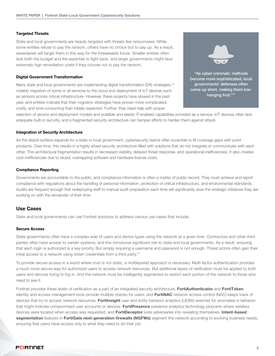#### Targeted Threats

State and local governments are heavily targeted with threats like ransomware. While some entities refuse to pay the ransom, others have no choice but to pay up. As a result, adversaries will target them in this way for the foreseeable future. Smaller entities often lack both the budget and the expertise to fight back, and larger governments might face extremely high remediation costs if they choose not to pay the ransom.

#### Digital Government Transformation

Many state and local governments are implementing digital transformation (DX) strategies,<sup>10</sup> notably migration of some or all services to the cloud and deployment of IoT devices such as sensors across critical infrastructure. However, these projects have slowed in the past year, and entities indicate that their migration strategies have proven more complicated, costly, and time-consuming than initially expected. Further, they need help with proper

"As cyber criminals' methods become more sophisticated, local governments' defenses often come up short, making them low-

hanging fruit."<sup>11</sup>

selection of service and deployment models and scalable and elastic IT-enabled capabilities provided as a service. IoT devices often lack adequate built-in security, and a fragmented security architecture can hamper efforts to harden them against attack.

#### Integration of Security Architecture

As the attack surface expands for a state or local government, cybersecurity teams often scramble to fill coverage gaps with point products. Over time, this results in a highly siloed security architecture filled with solutions that do not integrate or communicate with each other. This architectural fragmentation results in decreased visibility, delayed threat response, and operational inefficiencies. It also creates cost inefficiencies due to siloed, overlapping software and hardware license costs.

#### Compliance Reporting

Governments are accountable to the public, and compliance information is often a matter of public record. They must achieve and report compliance with regulations about the handling of personal information, protection of critical infrastructure, and environmental standards. Audits are frequent enough that redeploying staff to manual audit preparation each time will significantly slow the strategic initiatives they are working on with the remainder of their time.

# Use Cases

State and local governments can use Fortinet solutions to address various use cases that include:

#### Secure Access

State governments often have a complex web of users and device types using the network at a given time. Contractors and other third parties often have access to certain systems, and this introduces significant risk to state and local governments. As a result, ensuring that each login is authorized is a key priority. But simply requiring a username and password is not enough. Threat actors often gain their initial access to a network using stolen credentials from a third party.12

To provide secure access in a world where trust is not static, a multilayered approach is necessary. Multi-factor authentication provides a much more secure way for authorized users to access network resources. But additional layers of verification must be applied to both users and devices trying to log in. And the network must be intelligently segmented to restrict each portion of the network to those who need to see it.

Fortinet provides these levels of verification as a part of an integrated security architecture. FortiAuthenticator and FortiToken identity and access management tools provide multiple checks for users, and FortiNAC network access control (NAC) keeps track of devices that try to access network resources. Fortilnsight user and entity behavior analytics (UEBA) watches for anomalies in behavior that might indicate compromised user accounts or devices. FortiPresence presence analytics technology pinpoints where wireless devices were located when access was requested, and FortiDeceptor lures adversaries into revealing themselves. Intent-based segmentation features in FortiGate next-generation firewalls (NGFWs) segment the network according to evolving business needs, ensuring that users have access only to what they need to do their job.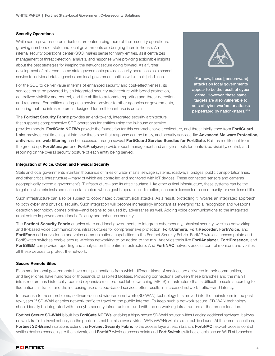# Security Operations

While some private-sector industries are outsourcing more of their security operations, growing numbers of state and local governments are bringing them in-house. An internal security operations center (SOC) makes sense for many entities, as it centralizes management of threat detection, analysis, and response while providing actionable insights about the best strategies for keeping the network secure going forward. As a further development of this trend, some state governments provide security operations as a shared service to individual state agencies and local government entities within their jurisdiction.

For the SOC to deliver value in terms of enhanced security and cost-effectiveness, its services must be powered by an integrated security architecture with broad protection, centralized visibility and control, and the ability to automate reporting and threat detection and response. For entities acting as a service provider to other agencies or governments, ensuring that the infrastructure is designed for multitenant use is crucial.

The Fortinet Security Fabric provides an end-to-end, integrated security architecture that supports comprehensive SOC operations for entities using the in-house or service

provider models. FortiGate NGFWs provide the foundation for this comprehensive architecture, and threat intelligence from FortiGuard Labs provides real-time insight into new threats so that response can be timely, and security services like Advanced Malware Protection, antivirus, and web filtering can be accessed through several FortiGuard Service Bundles for FortiGate. Built as multitenant from the ground up, FortiManager and FortiAnalyzer provide robust management and analytics tools for centralized visibility, control, and reporting on the overall security posture of each entity being served.

#### Integration of Voice, Cyber, and Physical Security

State and local governments maintain thousands of miles of water mains, sewage systems, roadways, bridges, public transportation lines, and other critical infrastructure—many of which are controlled and monitored with IoT devices. These connected sensors and cameras geographically extend a government's IT infrastructure—and its attack surface. Like other critical infrastructure, these systems can be the target of cyber criminals and nation-state actors whose goal is operational disruption, economic losses for the community, or even loss of life.

Such infrastructure can also be subject to coordinated cyber/physical attacks. As a result, protecting it involves an integrated approach to both cyber and physical security. Such integration will become increasingly important as emerging facial recognition and weapons detection technology comes online—and begins to be used by adversaries as well. Adding voice communications to the integrated architecture improves operational efficiency and enhances security.

The Fortinet Security Fabric enables state and local governments to integrate cybersecurity, physical security, wireless networking, and IP-based voice communications infrastructures for comprehensive protection. FortiCamera, FortiRecorder, FortiVoice, and FortiFone add surveillance and voice communications capabilities to the Fortinet Security Fabric. FortiAP wireless access points and FortiSwitch switches enable secure wireless networking to be added to the mix. Analytics tools like FortiAnalyzer, FortiPresence, and FortiSIEM can provide reporting and analysis on this entire infrastructure. And FortiNAC network access control monitors and verifies all these devices to protect the network.

#### Secure Remote Sites

Even smaller local governments have multiple locations from which different kinds of services are delivered in their communities, and larger ones have hundreds or thousands of assorted facilities. Providing connections between these branches and the main IT infrastructure has historically required expensive multiprotocol label switching (MPLS) infrastructure that is difficult to scale according to fluctuations in traffic, and the increasing use of cloud-based services often results in increased network traffic—and latency.

In response to these problems, software-defined wide-area network (SD-WAN) technology has moved into the mainstream in the past few years.14 SD-WAN enables network traffic to travel on the public internet. To keep such a network secure, SD-WAN technology should ideally be integrated with the cybersecurity infrastructure—and with the networking infrastructure at the remote location.

Fortinet Secure SD-WAN is built into FortiGate NGFWs, enabling a highly secure SD-WAN solution without adding additional hardware. It allows network traffic to travel not only on the public internet but also over a virtual WAN (vWAN) within select public clouds. At the remote locations, Fortinet SD-Branch solutions extend the Fortinet Security Fabric to the access layer at each branch. FortiNAC network access control verifies devices connecting to the network, and FortiAP wireless access points and FortiSwitch switches enable secure Wi-Fi at branches.

"For now, these [ransomware] attacks on local governments appear to be the result of cyber crime. However, these same targets are also vulnerable to acts of cyber warfare or attacks perpetrated by nation-states."13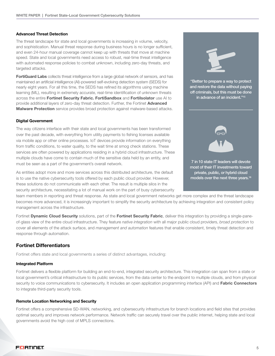#### Advanced Threat Detection

The threat landscape for state and local governments is increasing in volume, velocity, and sophistication. Manual threat response during business hours is no longer sufficient, and even 24-hour manual coverage cannot keep up with threats that move at machine speed. State and local governments need access to robust, real-time threat intelligence with automated response policies to combat unknown, including zero-day threats, and targeted attacks.

FortiGuard Labs collects threat intelligence from a large global network of sensors, and has maintained an artificial intelligence (AI)-powered self-evolving detection system (SEDS) for nearly eight years. For all this time, the SEDS has refined its algorithms using machine learning (ML), resulting in extremely accurate, real-time identification of unknown threats across the entire Fortinet Security Fabric. FortiSandbox and Fortilsolator use AI to provide additional layers of zero-day threat detection. Further, the Fortinet Advanced **Malware Protection** service provides broad protection against malware-based attacks.

#### Digital Government

The way citizens interface with their state and local governments has been transformed over the past decade, with everything from utility payments to fishing licenses available via mobile app or other online processes. IoT devices provide information on everything from traffic conditions, to water quality, to the wait time at smog check stations. These services are often powered by applications residing in a hybrid cloud infrastructure. These multiple clouds have come to contain much of the sensitive data held by an entity, and must be seen as a part of the government's overall network.

As entities adopt more and more services across this distributed architecture, the default is to use the native cybersecurity tools offered by each public cloud provider. However, these solutions do not communicate with each other. The result is multiple silos in the security architecture, necessitating a lot of manual work on the part of busy cybersecurity

team members in reporting and threat response. As state and local government networks get more complex and the threat landscape becomes more advanced, it is increasingly important to simplify the security architecture by achieving integration and consistent policy management across the infrastructure.

Fortinet Dynamic Cloud Security solutions, part of the Fortinet Security Fabric, deliver this integration by providing a single-paneof-glass view of the entire cloud infrastructure. They feature *native integration* with all major public cloud providers, *broad protection* to cover all elements of the attack surface, and *management and automation* features that enable consistent, timely threat detection and response through automation.

# Fortinet Differentiators

Fortinet offers state and local governments a series of distinct advantages, including:

#### Integrated Platform

Fortinet delivers a flexible platform for building an end-to-end, integrated security architecture. This integration can span from a state or local government's critical infrastructure to its public services, from the data center to the endpoint to multiple clouds, and from physical security to voice communications to cybersecurity. It includes an open application programming interface (API) and Fabric Connectors to integrate third-party security tools.

#### Remote Location Networking and Security

Fortinet offers a comprehensive SD-WAN, networking, and cybersecurity infrastructure for branch locations and field sites that provides optimal security and improves network performance. Network traffic can securely travel over the public internet, helping state and local governments avoid the high cost of MPLS connections.



"Better to prepare a way to protect and restore the data without paying off criminals, but this must be done in advance of an incident."15



7 in 10 state IT leaders will devote most of their IT investments toward private, public, or hybrid cloud models over the next three years.<sup>16</sup>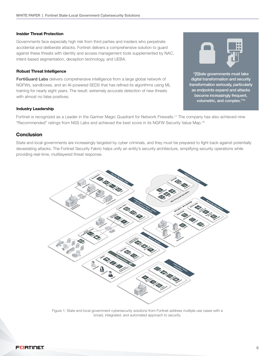# Insider Threat Protection

Governments face especially high risk from third parties and insiders who perpetrate accidental and deliberate attacks. Fortinet delivers a comprehensive solution to guard against these threats with identity and access management tools supplemented by NAC, intent-based segmentation, deception technology, and UEBA.

# Robust Threat Intelligence

FortiGuard Labs delivers comprehensive intelligence from a large global network of NGFWs, sandboxes, and an AI-powered SEDS that has refined its algorithms using ML training for nearly eight years. The result: extremely accurate detection of new threats with almost no false positives.

# Industry Leadership

Fortinet is recognized as a Leader in the Gartner Magic Quadrant for Network Firewalls.17 The company has also achieved nine "Recommended" ratings from NSS Labs and achieved the best score in its NGFW Security Value Map.18

# Conclusion

State and local governments are increasingly targeted by cyber criminals, and they must be prepared to fight back against potentially devastating attacks. The Fortinet Security Fabric helps unify an entity's security architecture, simplifying security operations while providing real-time, multilayered threat response.



Figure 1: State and local government cybersecurity solutions from Fortinet address multiple use cases with a broad, integrated, and automated approach to security.



"[S]tate governments must take digital transformation and security transformation seriously, particularly as endpoints expand and attacks become increasingly frequent, volumetric, and complex."19